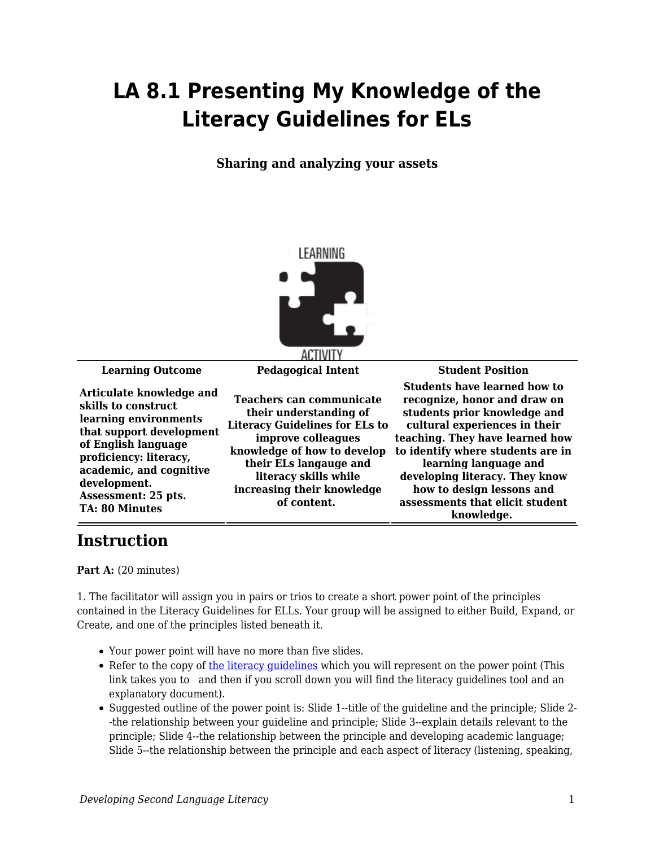## **LA 8.1 Presenting My Knowledge of the Literacy Guidelines for ELs**

**Sharing and analyzing your assets**



**Articulate knowledge and skills to construct learning environments that support development of English language proficiency: literacy, academic, and cognitive development. Assessment: 25 pts. TA: 80 Minutes**

**Teachers can communicate their understanding of Literacy Guidelines for ELs to improve colleagues knowledge of how to develop their ELs langauge and literacy skills while increasing their knowledge of content.** 

**Learning Outcome Pedagogical Intent Student Position Students have learned how to recognize, honor and draw on students prior knowledge and cultural experiences in their teaching. They have learned how to identify where students are in learning language and developing literacy. They know how to design lessons and assessments that elicit student knowledge.** 

## **Instruction**

Part A: (20 minutes)

1. The facilitator will assign you in pairs or trios to create a short power point of the principles contained in the Literacy Guidelines for ELLs. Your group will be assigned to either Build, Expand, or Create, and one of the principles listed beneath it.

- Your power point will have no more than five slides.
- Refer to the copy of the literacy quidelines which you will represent on the power point (This link takes you to and then if you scroll down you will find the literacy guidelines tool and an explanatory document).
- Suggested outline of the power point is: Slide 1--title of the guideline and the principle; Slide 2- -the relationship between your guideline and principle; Slide 3--explain details relevant to the principle; Slide 4--the relationship between the principle and developing academic language; Slide 5--the relationship between the principle and each aspect of literacy (listening, speaking,